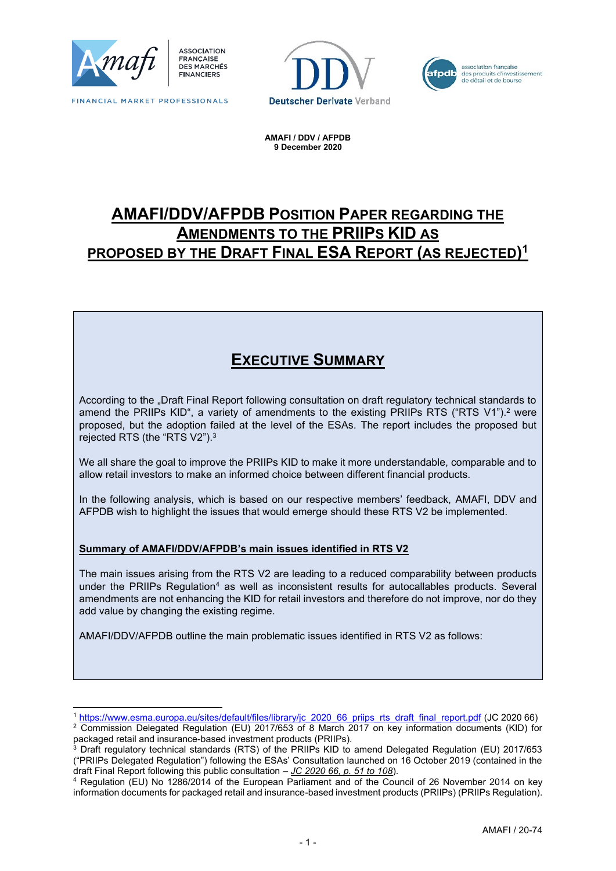

FINANCIAL MARKET PROFESSIONALS





**AMAFI / DDV / AFPDB 9 December 2020**

# **AMAFI/DDV/AFPDB POSITION PAPER REGARDING THE AMENDMENTS TO THE PRIIPS KID AS PROPOSED BY THE DRAFT FINAL ESA REPORT (AS REJECTED) 1**

# **EXECUTIVE SUMMARY**

According to the "Draft Final Report following consultation on draft regulatory technical standards to amend the PRIIPs KID", a variety of amendments to the existing PRIIPs RTS ("RTS V1"). <sup>2</sup> were proposed, but the adoption failed at the level of the ESAs. The report includes the proposed but rejected RTS (the "RTS V2"). $^{\rm 3}$ 

We all share the goal to improve the PRIIPs KID to make it more understandable, comparable and to allow retail investors to make an informed choice between different financial products.

In the following analysis, which is based on our respective members' feedback, AMAFI, DDV and AFPDB wish to highlight the issues that would emerge should these RTS V2 be implemented.

#### **Summary of AMAFI/DDV/AFPDB's main issues identified in RTS V2**

The main issues arising from the RTS V2 are leading to a reduced comparability between products under the PRIIPs Regulation<sup>4</sup> as well as inconsistent results for autocallables products. Several amendments are not enhancing the KID for retail investors and therefore do not improve, nor do they add value by changing the existing regime.

AMAFI/DDV/AFPDB outline the main problematic issues identified in RTS V2 as follows:

<sup>1</sup> [https://www.esma.europa.eu/sites/default/files/library/jc\\_2020\\_66\\_priips\\_rts\\_draft\\_final\\_report.pdf](https://www.esma.europa.eu/sites/default/files/library/jc_2020_66_priips_rts_draft_final_report.pdf) (JC 2020 66)

<sup>&</sup>lt;sup>2</sup> Commission Delegated Regulation (EU) 2017/653 of 8 March 2017 on key information documents (KID) for packaged retail and insurance-based investment products (PRIIPs).

<sup>&</sup>lt;sup>3</sup> Draft regulatory technical standards (RTS) of the PRIIPs KID to amend Delegated Regulation (EU) 2017/653 ("PRIIPs Delegated Regulation") following the ESAs' Consultation launched on 16 October 2019 (contained in the draft Final Report following this public consultation – *JC 2020 66, p. 51 to 108*).

<sup>4</sup> Regulation (EU) No 1286/2014 of the European Parliament and of the Council of 26 November 2014 on key information documents for packaged retail and insurance-based investment products (PRIIPs) (PRIIPs Regulation).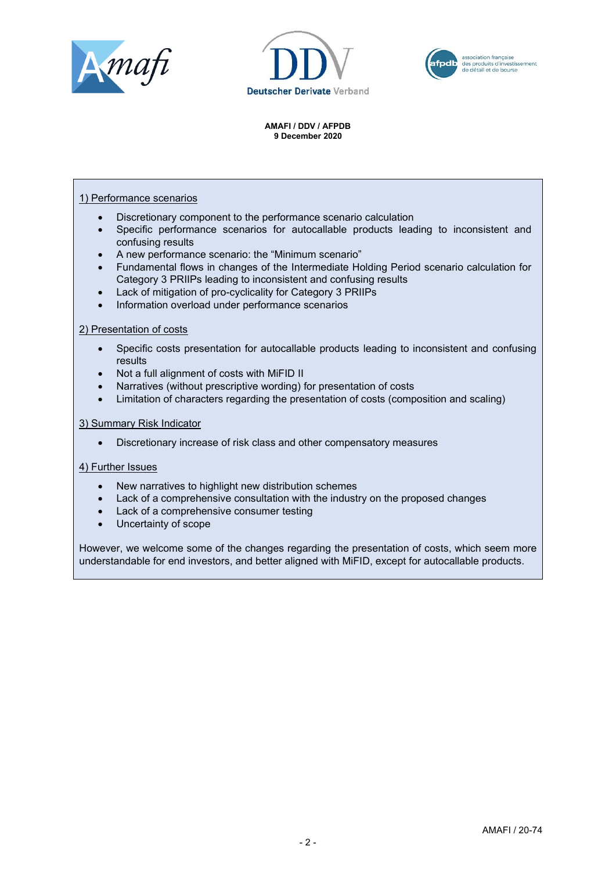





#### 1) Performance scenarios

- Discretionary component to the performance scenario calculation
- Specific performance scenarios for autocallable products leading to inconsistent and confusing results
- A new performance scenario: the "Minimum scenario"
- Fundamental flows in changes of the Intermediate Holding Period scenario calculation for Category 3 PRIIPs leading to inconsistent and confusing results
- Lack of mitigation of pro-cyclicality for Category 3 PRIIPs
- Information overload under performance scenarios

#### 2) Presentation of costs

- Specific costs presentation for autocallable products leading to inconsistent and confusing results
- Not a full alignment of costs with MiFID II
- Narratives (without prescriptive wording) for presentation of costs
- Limitation of characters regarding the presentation of costs (composition and scaling)

#### 3) Summary Risk Indicator

• Discretionary increase of risk class and other compensatory measures

#### 4) Further Issues

- New narratives to highlight new distribution schemes
- Lack of a comprehensive consultation with the industry on the proposed changes
- Lack of a comprehensive consumer testing
- Uncertainty of scope

However, we welcome some of the changes regarding the presentation of costs, which seem more understandable for end investors, and better aligned with MiFID, except for autocallable products.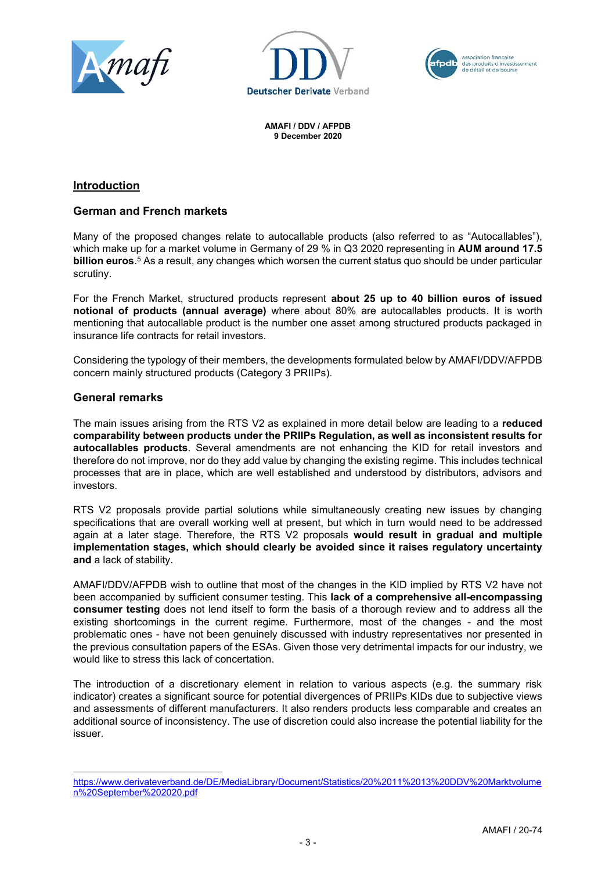





### **Introduction**

### **German and French markets**

Many of the proposed changes relate to autocallable products (also referred to as "Autocallables"), which make up for a market volume in Germany of 29 % in Q3 2020 representing in **AUM around 17.5 billion euros**. <sup>5</sup> As a result, any changes which worsen the current status quo should be under particular scrutiny.

For the French Market, structured products represent **about 25 up to 40 billion euros of issued notional of products (annual average)** where about 80% are autocallables products. It is worth mentioning that autocallable product is the number one asset among structured products packaged in insurance life contracts for retail investors.

Considering the typology of their members, the developments formulated below by AMAFI/DDV/AFPDB concern mainly structured products (Category 3 PRIIPs).

#### **General remarks**

The main issues arising from the RTS V2 as explained in more detail below are leading to a **reduced comparability between products under the PRIIPs Regulation, as well as inconsistent results for autocallables products**. Several amendments are not enhancing the KID for retail investors and therefore do not improve, nor do they add value by changing the existing regime. This includes technical processes that are in place, which are well established and understood by distributors, advisors and investors.

RTS V2 proposals provide partial solutions while simultaneously creating new issues by changing specifications that are overall working well at present, but which in turn would need to be addressed again at a later stage. Therefore, the RTS V2 proposals **would result in gradual and multiple implementation stages, which should clearly be avoided since it raises regulatory uncertainty and** a lack of stability.

AMAFI/DDV/AFPDB wish to outline that most of the changes in the KID implied by RTS V2 have not been accompanied by sufficient consumer testing. This **lack of a comprehensive all-encompassing consumer testing** does not lend itself to form the basis of a thorough review and to address all the existing shortcomings in the current regime. Furthermore, most of the changes - and the most problematic ones - have not been genuinely discussed with industry representatives nor presented in the previous consultation papers of the ESAs. Given those very detrimental impacts for our industry, we would like to stress this lack of concertation.

The introduction of a discretionary element in relation to various aspects (e.g. the summary risk indicator) creates a significant source for potential divergences of PRIIPs KIDs due to subjective views and assessments of different manufacturers. It also renders products less comparable and creates an additional source of inconsistency. The use of discretion could also increase the potential liability for the issuer.

[https://www.derivateverband.de/DE/MediaLibrary/Document/Statistics/20%2011%2013%20DDV%20Marktvolume](https://www.derivateverband.de/DE/MediaLibrary/Document/Statistics/20%2011%2013%20DDV%20Marktvolumen%20September%202020.pdf) [n%20September%202020.pdf](https://www.derivateverband.de/DE/MediaLibrary/Document/Statistics/20%2011%2013%20DDV%20Marktvolumen%20September%202020.pdf)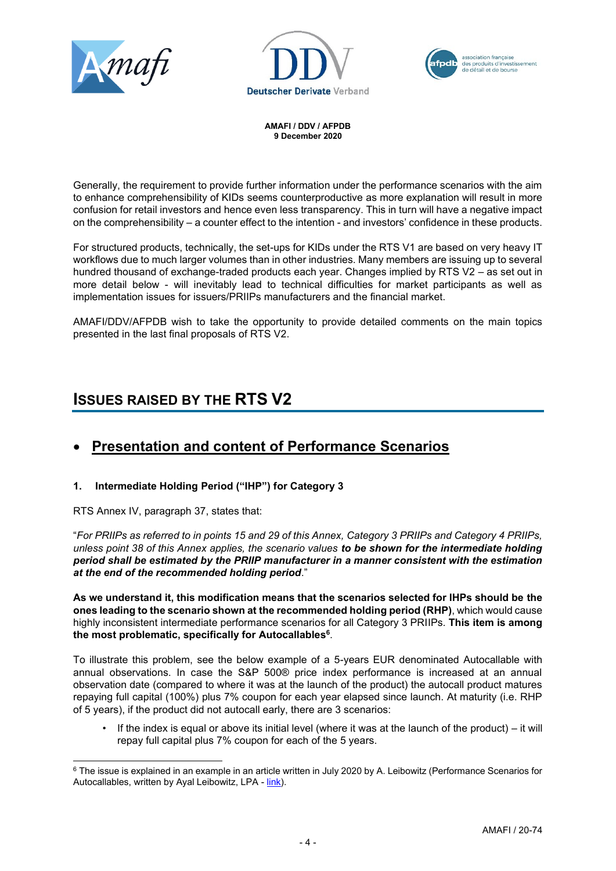





Generally, the requirement to provide further information under the performance scenarios with the aim to enhance comprehensibility of KIDs seems counterproductive as more explanation will result in more confusion for retail investors and hence even less transparency. This in turn will have a negative impact on the comprehensibility – a counter effect to the intention - and investors' confidence in these products.

For structured products, technically, the set-ups for KIDs under the RTS V1 are based on very heavy IT workflows due to much larger volumes than in other industries. Many members are issuing up to several hundred thousand of exchange-traded products each year. Changes implied by RTS V2 – as set out in more detail below - will inevitably lead to technical difficulties for market participants as well as implementation issues for issuers/PRIIPs manufacturers and the financial market.

AMAFI/DDV/AFPDB wish to take the opportunity to provide detailed comments on the main topics presented in the last final proposals of RTS V2.

# **ISSUES RAISED BY THE RTS V2**

# • **Presentation and content of Performance Scenarios**

### **1. Intermediate Holding Period ("IHP") for Category 3**

RTS Annex IV, paragraph 37, states that:

"*For PRIIPs as referred to in points 15 and 29 of this Annex, Category 3 PRIIPs and Category 4 PRIIPs, unless point 38 of this Annex applies, the scenario values to be shown for the intermediate holding period shall be estimated by the PRIIP manufacturer in a manner consistent with the estimation at the end of the recommended holding period*."

**As we understand it, this modification means that the scenarios selected for IHPs should be the ones leading to the scenario shown at the recommended holding period (RHP)**, which would cause highly inconsistent intermediate performance scenarios for all Category 3 PRIIPs. **This item is among the most problematic, specifically for Autocallables<sup>6</sup>** .

To illustrate this problem, see the below example of a 5-years EUR denominated Autocallable with annual observations. In case the S&P 500® price index performance is increased at an annual observation date (compared to where it was at the launch of the product) the autocall product matures repaying full capital (100%) plus 7% coupon for each year elapsed since launch. At maturity (i.e. RHP of 5 years), if the product did not autocall early, there are 3 scenarios:

If the index is equal or above its initial level (where it was at the launch of the product) – it will repay full capital plus 7% coupon for each of the 5 years.

<sup>&</sup>lt;sup>6</sup> The issue is explained in an example in an article written in July 2020 by A. Leibowitz (Performance Scenarios for Autocallables, written by Ayal Leibowitz, LPA - [link\)](https://www.l-p-a.com/news/june-2020-draft-amended-PRIIPs-RTS-whats-inside-for-structured-products).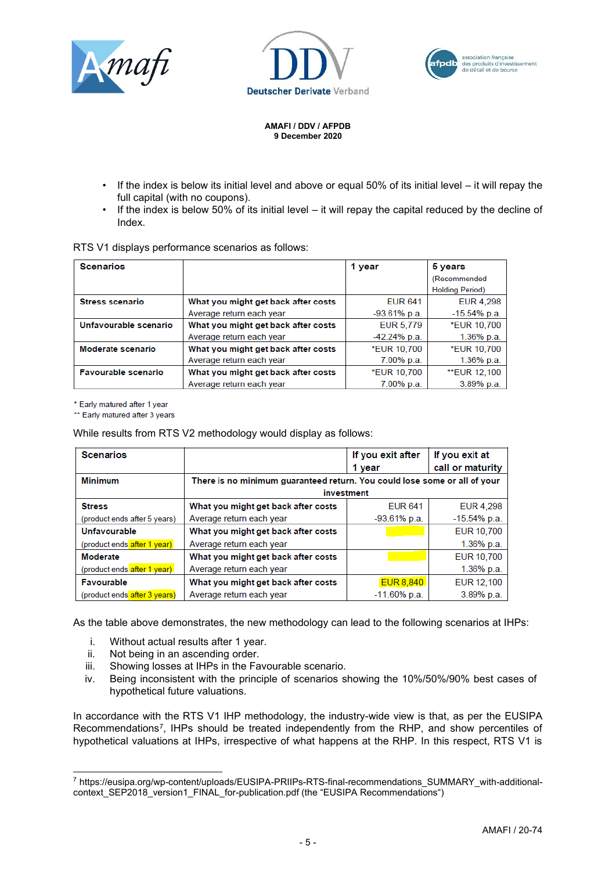





- If the index is below its initial level and above or equal  $50\%$  of its initial level  $-$  it will repay the full capital (with no coupons).
- If the index is below 50% of its initial level it will repay the capital reduced by the decline of Index.

|  |  |  | RTS V1 displays performance scenarios as follows: |  |
|--|--|--|---------------------------------------------------|--|
|--|--|--|---------------------------------------------------|--|

| <b>Scenarios</b>       |                                     | 1 year         | 5 years                |
|------------------------|-------------------------------------|----------------|------------------------|
|                        |                                     |                | (Recommended           |
|                        |                                     |                | <b>Holding Period)</b> |
| <b>Stress scenario</b> | What you might get back after costs | <b>EUR 641</b> | EUR 4,298              |
|                        | Average return each year            | $-93.61%$ p.a. | $-15.54%$ p.a.         |
| Unfavourable scenario  | What you might get back after costs | EUR 5,779      | <b>*EUR 10,700</b>     |
|                        | Average return each year            | $-42.24%$ p.a. | 1.36% p.a.             |
| Moderate scenario      | What you might get back after costs | *EUR 10,700    | *EUR 10,700            |
|                        | Average return each year            | 7.00% p.a.     | 1.36% p.a.             |
| Favourable scenario    | What you might get back after costs | *EUR 10,700    | <b>**EUR 12,100</b>    |
|                        | Average return each year            | 7.00% p.a.     | 3.89% p.a.             |

\* Early matured after 1 year

\*\* Early matured after 3 years

While results from RTS V2 methodology would display as follows:

| <b>Scenarios</b>             |                                                                           | If you exit after | If you exit at   |  |  |
|------------------------------|---------------------------------------------------------------------------|-------------------|------------------|--|--|
|                              |                                                                           | 1 year            | call or maturity |  |  |
| <b>Minimum</b>               | There is no minimum guaranteed return. You could lose some or all of your |                   |                  |  |  |
|                              | investment                                                                |                   |                  |  |  |
| <b>Stress</b>                | What you might get back after costs                                       | <b>FUR 641</b>    | <b>EUR 4.298</b> |  |  |
| (product ends after 5 years) | Average return each year                                                  | $-93.61%$ p.a.    | $-15.54%$ p.a.   |  |  |
| Unfavourable                 | What you might get back after costs                                       |                   | EUR 10,700       |  |  |
| (product ends after 1 year)  | Average return each year                                                  |                   | 1.36% p.a.       |  |  |
| Moderate                     | What you might get back after costs                                       |                   | EUR 10,700       |  |  |
| (product ends after 1 year)  | Average return each year                                                  |                   | 1.36% p.a.       |  |  |
| Favourable                   | What you might get back after costs                                       | <b>EUR 8,840</b>  | EUR 12,100       |  |  |
| (product ends after 3 years) | Average return each year                                                  | $-11.60\%$ p.a.   | 3.89% p.a.       |  |  |

As the table above demonstrates, the new methodology can lead to the following scenarios at IHPs:

- i. Without actual results after 1 year.
- ii. Not being in an ascending order.
- iii. Showing losses at IHPs in the Favourable scenario.
- iv. Being inconsistent with the principle of scenarios showing the 10%/50%/90% best cases of hypothetical future valuations.

In accordance with the RTS V1 IHP methodology, the industry-wide view is that, as per the EUSIPA Recommendations<sup>7</sup>, IHPs should be treated independently from the RHP, and show percentiles of hypothetical valuations at IHPs, irrespective of what happens at the RHP. In this respect, RTS V1 is

<sup>7</sup> https://eusipa.org/wp-content/uploads/EUSIPA-PRIIPs-RTS-final-recommendations\_SUMMARY\_with-additionalcontext SEP2018 version1 FINAL for-publication.pdf (the "EUSIPA Recommendations")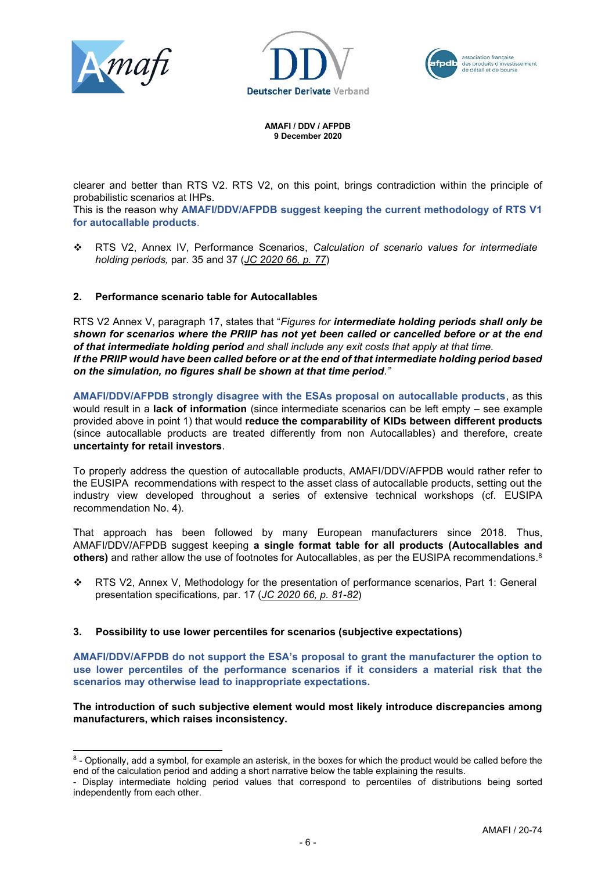





clearer and better than RTS V2. RTS V2, on this point, brings contradiction within the principle of probabilistic scenarios at IHPs.

This is the reason why **AMAFI/DDV/AFPDB suggest keeping the current methodology of RTS V1 for autocallable products**.

❖ RTS V2, Annex IV, Performance Scenarios, *Calculation of scenario values for intermediate holding periods,* par. 35 and 37 (*JC 2020 66, p. 77*)

#### **2. Performance scenario table for Autocallables**

RTS V2 Annex V, paragraph 17, states that "*Figures for intermediate holding periods shall only be shown for scenarios where the PRIIP has not yet been called or cancelled before or at the end of that intermediate holding period and shall include any exit costs that apply at that time. If the PRIIP would have been called before or at the end of that intermediate holding period based on the simulation, no figures shall be shown at that time period."*

**AMAFI/DDV/AFPDB strongly disagree with the ESAs proposal on autocallable products**, as this would result in a **lack of information** (since intermediate scenarios can be left empty – see example provided above in point 1) that would **reduce the comparability of KIDs between different products** (since autocallable products are treated differently from non Autocallables) and therefore, create **uncertainty for retail investors**.

To properly address the question of autocallable products, AMAFI/DDV/AFPDB would rather refer to the EUSIPA recommendations with respect to the asset class of autocallable products, setting out the industry view developed throughout a series of extensive technical workshops (cf. EUSIPA recommendation No. 4).

That approach has been followed by many European manufacturers since 2018. Thus, AMAFI/DDV/AFPDB suggest keeping **a single format table for all products (Autocallables and others)** and rather allow the use of footnotes for Autocallables, as per the EUSIPA recommendations. 8

❖ RTS V2, Annex V, Methodology for the presentation of performance scenarios, Part 1: General presentation specifications*,* par. 17 (*JC 2020 66, p. 81-82*)

#### **3. Possibility to use lower percentiles for scenarios (subjective expectations)**

**AMAFI/DDV/AFPDB do not support the ESA's proposal to grant the manufacturer the option to use lower percentiles of the performance scenarios if it considers a material risk that the scenarios may otherwise lead to inappropriate expectations.** 

**The introduction of such subjective element would most likely introduce discrepancies among manufacturers, which raises inconsistency.** 

<sup>8 -</sup> Optionally, add a symbol, for example an asterisk, in the boxes for which the product would be called before the end of the calculation period and adding a short narrative below the table explaining the results.

<sup>-</sup> Display intermediate holding period values that correspond to percentiles of distributions being sorted independently from each other.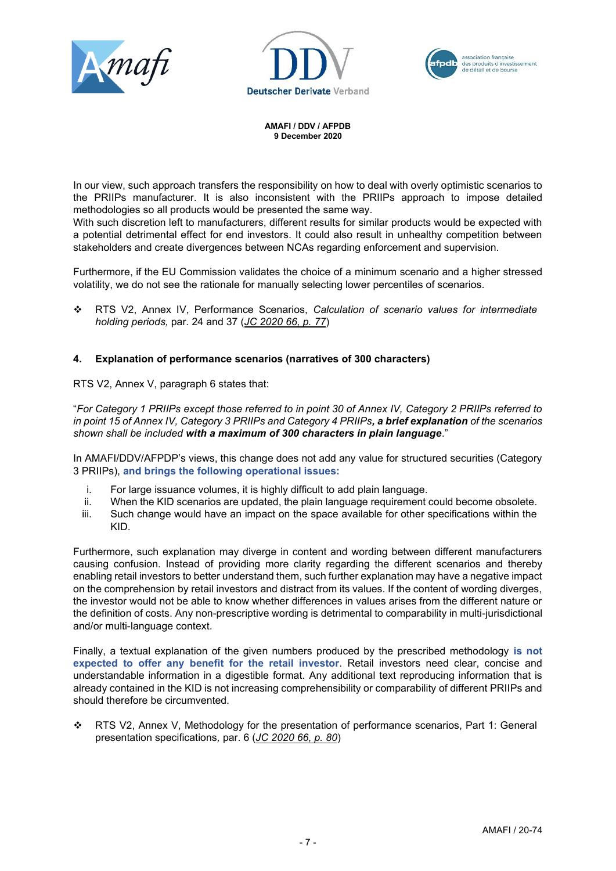





In our view, such approach transfers the responsibility on how to deal with overly optimistic scenarios to the PRIIPs manufacturer. It is also inconsistent with the PRIIPs approach to impose detailed methodologies so all products would be presented the same way.

With such discretion left to manufacturers, different results for similar products would be expected with a potential detrimental effect for end investors. It could also result in unhealthy competition between stakeholders and create divergences between NCAs regarding enforcement and supervision.

Furthermore, if the EU Commission validates the choice of a minimum scenario and a higher stressed volatility, we do not see the rationale for manually selecting lower percentiles of scenarios.

❖ RTS V2, Annex IV, Performance Scenarios, *Calculation of scenario values for intermediate holding periods,* par. 24 and 37 (*JC 2020 66, p. 77*)

#### **4. Explanation of performance scenarios (narratives of 300 characters)**

RTS V2, Annex V, paragraph 6 states that:

"*For Category 1 PRIIPs except those referred to in point 30 of Annex IV, Category 2 PRIIPs referred to in point 15 of Annex IV, Category 3 PRIIPs and Category 4 PRIIPs, a brief explanation of the scenarios shown shall be included with a maximum of 300 characters in plain language*."

In AMAFI/DDV/AFPDP's views, this change does not add any value for structured securities (Category 3 PRIIPs), **and brings the following operational issues:**

- i. For large issuance volumes, it is highly difficult to add plain language.
- ii. When the KID scenarios are updated, the plain language requirement could become obsolete.
- iii. Such change would have an impact on the space available for other specifications within the KID.

Furthermore, such explanation may diverge in content and wording between different manufacturers causing confusion. Instead of providing more clarity regarding the different scenarios and thereby enabling retail investors to better understand them, such further explanation may have a negative impact on the comprehension by retail investors and distract from its values. If the content of wording diverges, the investor would not be able to know whether differences in values arises from the different nature or the definition of costs. Any non-prescriptive wording is detrimental to comparability in multi-jurisdictional and/or multi-language context.

Finally, a textual explanation of the given numbers produced by the prescribed methodology **is not expected to offer any benefit for the retail investor**. Retail investors need clear, concise and understandable information in a digestible format. Any additional text reproducing information that is already contained in the KID is not increasing comprehensibility or comparability of different PRIIPs and should therefore be circumvented.

❖ RTS V2, Annex V, Methodology for the presentation of performance scenarios, Part 1: General presentation specifications*,* par. 6 (*JC 2020 66, p. 80*)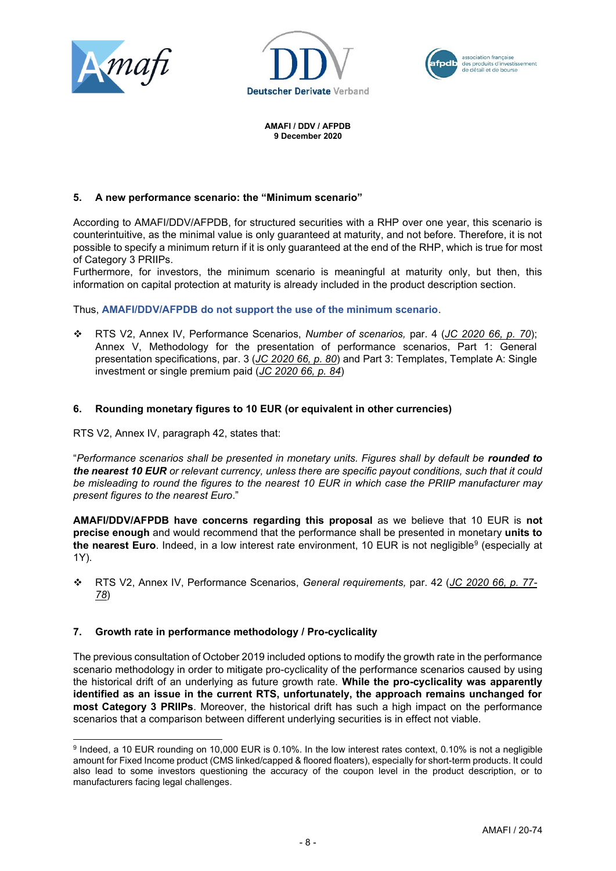





#### **5. A new performance scenario: the "Minimum scenario"**

According to AMAFI/DDV/AFPDB, for structured securities with a RHP over one year, this scenario is counterintuitive, as the minimal value is only guaranteed at maturity, and not before. Therefore, it is not possible to specify a minimum return if it is only guaranteed at the end of the RHP, which is true for most of Category 3 PRIIPs.

Furthermore, for investors, the minimum scenario is meaningful at maturity only, but then, this information on capital protection at maturity is already included in the product description section.

Thus, **AMAFI/DDV/AFPDB do not support the use of the minimum scenario**.

❖ RTS V2, Annex IV, Performance Scenarios, *Number of scenarios,* par. 4 (*JC 2020 66, p. 70*); Annex V, Methodology for the presentation of performance scenarios, Part 1: General presentation specifications, par. 3 (*JC 2020 66, p. 80*) and Part 3: Templates, Template A: Single investment or single premium paid (*JC 2020 66, p. 84*)

#### **6. Rounding monetary figures to 10 EUR (or equivalent in other currencies)**

RTS V2, Annex IV, paragraph 42, states that:

"*Performance scenarios shall be presented in monetary units. Figures shall by default be rounded to the nearest 10 EUR or relevant currency, unless there are specific payout conditions, such that it could be misleading to round the figures to the nearest 10 EUR in which case the PRIIP manufacturer may present figures to the nearest Euro*."

**AMAFI/DDV/AFPDB have concerns regarding this proposal** as we believe that 10 EUR is **not precise enough** and would recommend that the performance shall be presented in monetary **units to the nearest Euro**. Indeed, in a low interest rate environment, 10 EUR is not negligible<sup>9</sup> (especially at 1Y).

❖ RTS V2, Annex IV, Performance Scenarios, *General requirements,* par. 42 (*JC 2020 66, p. 77- 78*)

#### **7. Growth rate in performance methodology / Pro-cyclicality**

The previous consultation of October 2019 included options to modify the growth rate in the performance scenario methodology in order to mitigate pro-cyclicality of the performance scenarios caused by using the historical drift of an underlying as future growth rate. **While the pro-cyclicality was apparently identified as an issue in the current RTS, unfortunately, the approach remains unchanged for most Category 3 PRIIPs**. Moreover, the historical drift has such a high impact on the performance scenarios that a comparison between different underlying securities is in effect not viable.

<sup>9</sup> Indeed, a 10 EUR rounding on 10,000 EUR is 0.10%. In the low interest rates context, 0.10% is not a negligible amount for Fixed Income product (CMS linked/capped & floored floaters), especially for short-term products. It could also lead to some investors questioning the accuracy of the coupon level in the product description, or to manufacturers facing legal challenges.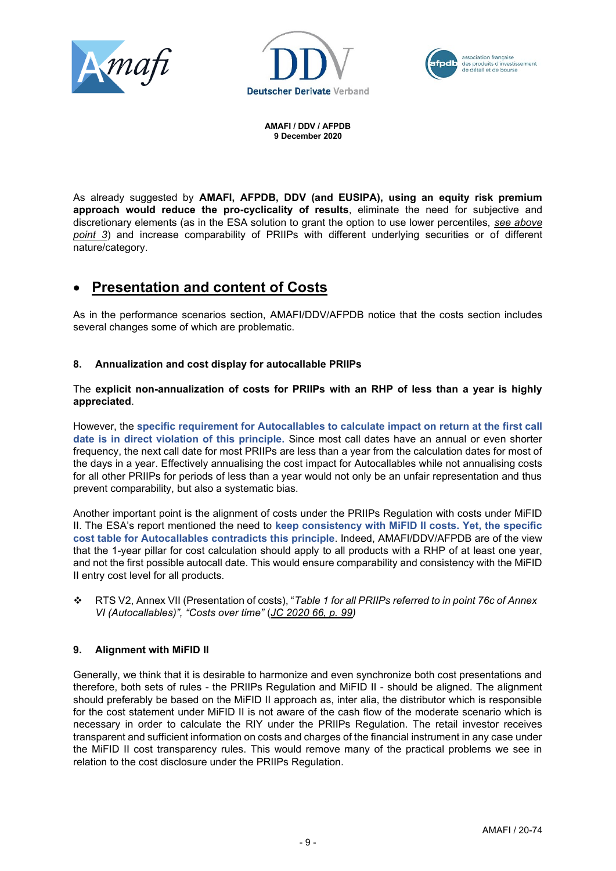





As already suggested by **AMAFI, AFPDB, DDV (and EUSIPA), using an equity risk premium approach would reduce the pro-cyclicality of results**, eliminate the need for subjective and discretionary elements (as in the ESA solution to grant the option to use lower percentiles, *see above point 3*) and increase comparability of PRIIPs with different underlying securities or of different nature/category.

## • **Presentation and content of Costs**

As in the performance scenarios section, AMAFI/DDV/AFPDB notice that the costs section includes several changes some of which are problematic.

### **8. Annualization and cost display for autocallable PRIIPs**

The **explicit non-annualization of costs for PRIIPs with an RHP of less than a year is highly appreciated**.

However, the **specific requirement for Autocallables to calculate impact on return at the first call date is in direct violation of this principle.** Since most call dates have an annual or even shorter frequency, the next call date for most PRIIPs are less than a year from the calculation dates for most of the days in a year. Effectively annualising the cost impact for Autocallables while not annualising costs for all other PRIIPs for periods of less than a year would not only be an unfair representation and thus prevent comparability, but also a systematic bias.

Another important point is the alignment of costs under the PRIIPs Regulation with costs under MiFID II. The ESA's report mentioned the need to **keep consistency with MiFID II costs. Yet, the specific cost table for Autocallables contradicts this principle**. Indeed, AMAFI/DDV/AFPDB are of the view that the 1-year pillar for cost calculation should apply to all products with a RHP of at least one year, and not the first possible autocall date. This would ensure comparability and consistency with the MiFID II entry cost level for all products.

❖ RTS V2, Annex VII (Presentation of costs), "*Table 1 for all PRIIPs referred to in point 76c of Annex VI (Autocallables)", "Costs over time"* (*JC 2020 66, p. 99)*

#### **9. Alignment with MiFID II**

Generally, we think that it is desirable to harmonize and even synchronize both cost presentations and therefore, both sets of rules - the PRIIPs Regulation and MiFID II - should be aligned. The alignment should preferably be based on the MiFID II approach as, inter alia, the distributor which is responsible for the cost statement under MiFID II is not aware of the cash flow of the moderate scenario which is necessary in order to calculate the RIY under the PRIIPs Regulation. The retail investor receives transparent and sufficient information on costs and charges of the financial instrument in any case under the MiFID II cost transparency rules. This would remove many of the practical problems we see in relation to the cost disclosure under the PRIIPs Regulation.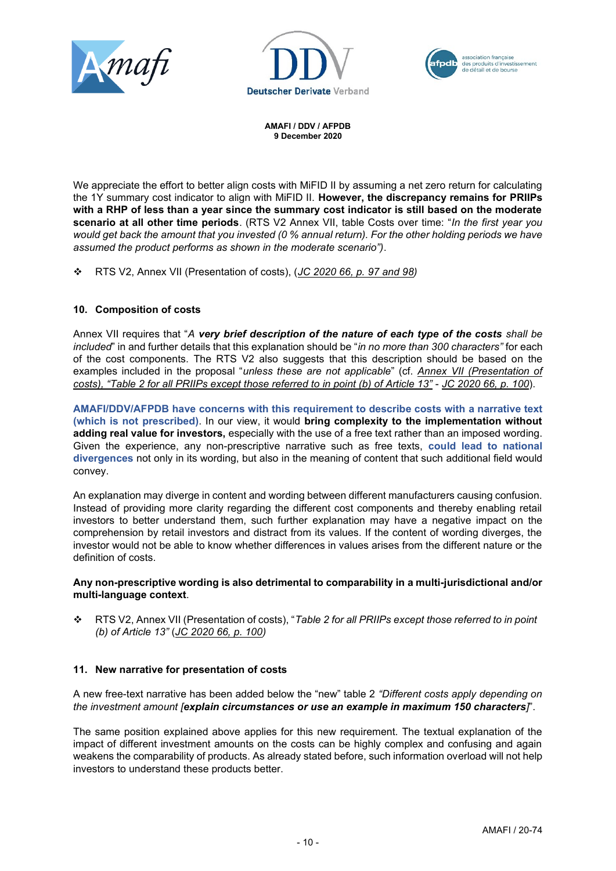





We appreciate the effort to better align costs with MiFID II by assuming a net zero return for calculating the 1Y summary cost indicator to align with MiFID II. **However, the discrepancy remains for PRIIPs with a RHP of less than a year since the summary cost indicator is still based on the moderate scenario at all other time periods**. (RTS V2 Annex VII, table Costs over time: "*In the first year you would get back the amount that you invested (0 % annual return). For the other holding periods we have assumed the product performs as shown in the moderate scenario")*.

❖ RTS V2, Annex VII (Presentation of costs), (*JC 2020 66, p. 97 and 98)*

### **10. Composition of costs**

Annex VII requires that "*A very brief description of the nature of each type of the costs shall be included*" in and further details that this explanation should be "*in no more than 300 characters"* for each of the cost components. The RTS V2 also suggests that this description should be based on the examples included in the proposal "*unless these are not applicable*" (cf. *Annex VII (Presentation of costs), "Table 2 for all PRIIPs except those referred to in point (b) of Article 13"* - *JC 2020 66, p. 100*).

**AMAFI/DDV/AFPDB have concerns with this requirement to describe costs with a narrative text (which is not prescribed)**. In our view, it would **bring complexity to the implementation without adding real value for investors,** especially with the use of a free text rather than an imposed wording. Given the experience, any non-prescriptive narrative such as free texts, **could lead to national divergences** not only in its wording, but also in the meaning of content that such additional field would convey.

An explanation may diverge in content and wording between different manufacturers causing confusion. Instead of providing more clarity regarding the different cost components and thereby enabling retail investors to better understand them, such further explanation may have a negative impact on the comprehension by retail investors and distract from its values. If the content of wording diverges, the investor would not be able to know whether differences in values arises from the different nature or the definition of costs.

#### **Any non-prescriptive wording is also detrimental to comparability in a multi-jurisdictional and/or multi-language context**.

❖ RTS V2, Annex VII (Presentation of costs), "*Table 2 for all PRIIPs except those referred to in point (b) of Article 13"* (*JC 2020 66, p. 100)*

#### **11. New narrative for presentation of costs**

A new free-text narrative has been added below the "new" table 2 *"Different costs apply depending on the investment amount [explain circumstances or use an example in maximum 150 characters]*".

The same position explained above applies for this new requirement. The textual explanation of the impact of different investment amounts on the costs can be highly complex and confusing and again weakens the comparability of products. As already stated before, such information overload will not help investors to understand these products better.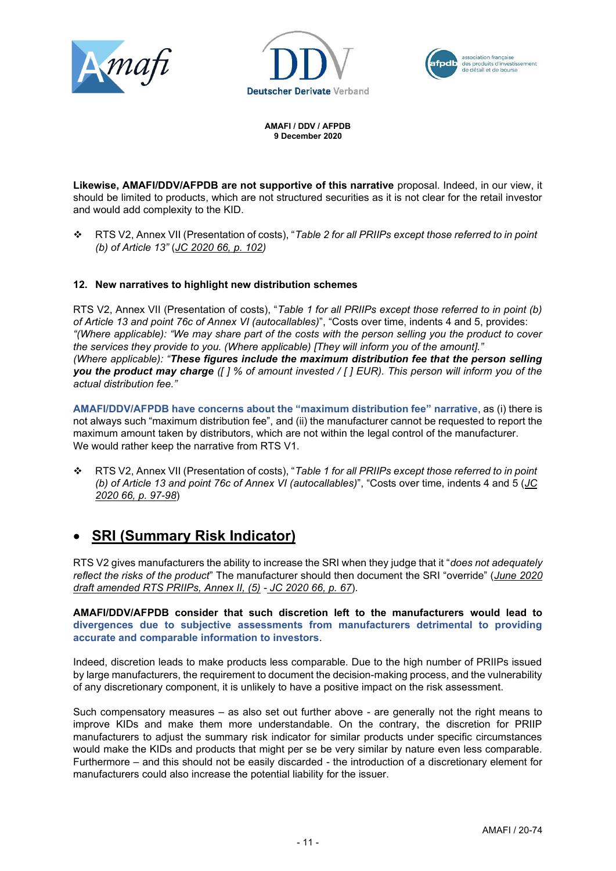





**Likewise, AMAFI/DDV/AFPDB are not supportive of this narrative** proposal. Indeed, in our view, it should be limited to products, which are not structured securities as it is not clear for the retail investor and would add complexity to the KID.

❖ RTS V2, Annex VII (Presentation of costs), "*Table 2 for all PRIIPs except those referred to in point (b) of Article 13"* (*JC 2020 66, p. 102)*

#### **12. New narratives to highlight new distribution schemes**

RTS V2, Annex VII (Presentation of costs), "*Table 1 for all PRIIPs except those referred to in point (b) of Article 13 and point 76c of Annex VI (autocallables)*", "Costs over time, indents 4 and 5, provides: *"(Where applicable): "We may share part of the costs with the person selling you the product to cover the services they provide to you. (Where applicable) [They will inform you of the amount]." (Where applicable): "These figures include the maximum distribution fee that the person selling you the product may charge ([ ] % of amount invested / [ ] EUR). This person will inform you of the actual distribution fee."*

**AMAFI/DDV/AFPDB have concerns about the "maximum distribution fee" narrative**, as (i) there is not always such "maximum distribution fee", and (ii) the manufacturer cannot be requested to report the maximum amount taken by distributors, which are not within the legal control of the manufacturer. We would rather keep the narrative from RTS V1.

❖ RTS V2, Annex VII (Presentation of costs), "*Table 1 for all PRIIPs except those referred to in point (b) of Article 13 and point 76c of Annex VI (autocallables)*", "Costs over time, indents 4 and 5 (*JC 2020 66, p. 97-98*)

# • **SRI (Summary Risk Indicator)**

RTS V2 gives manufacturers the ability to increase the SRI when they judge that it "*does not adequately reflect the risks of the product*" The manufacturer should then document the SRI "override" (*June 2020 draft amended RTS PRIIPs, Annex II, (5) - JC 2020 66, p. 67*).

**AMAFI/DDV/AFPDB consider that such discretion left to the manufacturers would lead to divergences due to subjective assessments from manufacturers detrimental to providing accurate and comparable information to investors**.

Indeed, discretion leads to make products less comparable. Due to the high number of PRIIPs issued by large manufacturers, the requirement to document the decision-making process, and the vulnerability of any discretionary component, it is unlikely to have a positive impact on the risk assessment.

Such compensatory measures – as also set out further above - are generally not the right means to improve KIDs and make them more understandable. On the contrary, the discretion for PRIIP manufacturers to adjust the summary risk indicator for similar products under specific circumstances would make the KIDs and products that might per se be very similar by nature even less comparable. Furthermore – and this should not be easily discarded - the introduction of a discretionary element for manufacturers could also increase the potential liability for the issuer.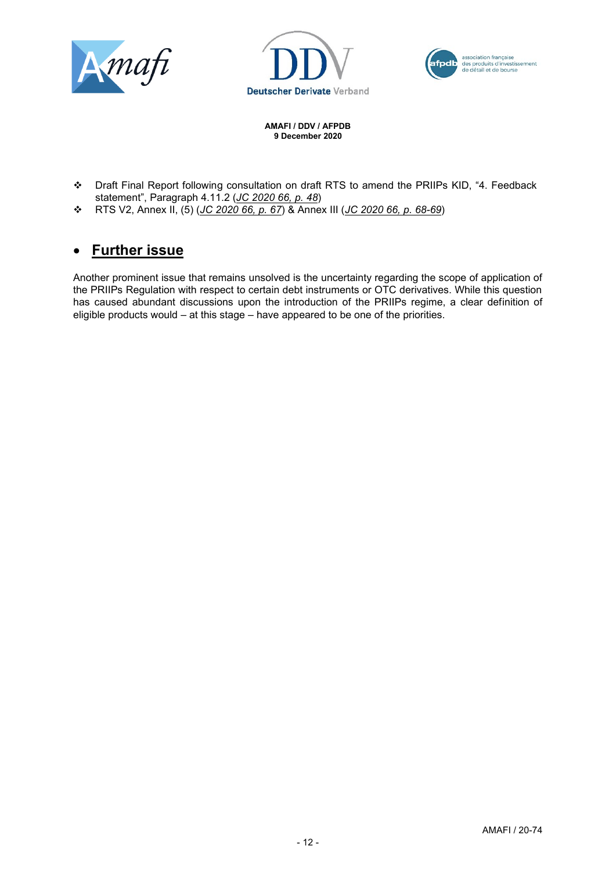





- ❖ Draft Final Report following consultation on draft RTS to amend the PRIIPs KID, "4. Feedback statement", Paragraph 4.11.2 (*JC 2020 66, p. 48*)
- ❖ RTS V2, Annex II, (5) (*JC 2020 66, p. 67*) & Annex III (*JC 2020 66, p. 68-69*)

# • **Further issue**

Another prominent issue that remains unsolved is the uncertainty regarding the scope of application of the PRIIPs Regulation with respect to certain debt instruments or OTC derivatives. While this question has caused abundant discussions upon the introduction of the PRIIPs regime, a clear definition of eligible products would – at this stage – have appeared to be one of the priorities.